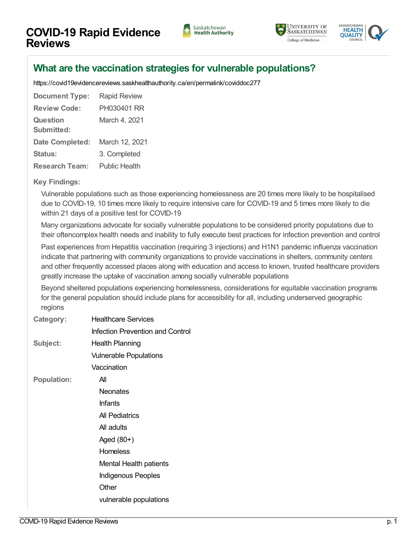





## **What are the vaccination strategies for vulnerable [populations?](https://covid19evidencereviews.saskhealthauthority.ca/en/viewer?file=%252fmedia%252fCOVID%252fPH030401%20RR.pdf#search=id%253acoviddoc277&phrase=false&pagemode=bookmarks)**

<https://covid19evidencereviews.saskhealthauthority.ca/en/permalink/coviddoc277>

| <b>Document Type:</b>         | <b>Rapid Review</b> |
|-------------------------------|---------------------|
| <b>Review Code:</b>           | PH030401 RR         |
| <b>Question</b><br>Submitted: | March 4, 2021       |
| Date Completed:               | March 12, 2021      |
| <b>Status:</b>                | 3. Completed        |
| <b>Research Team:</b>         | Public Health       |

## **Key Findings:**

Vulnerable populations such as those experiencing homelessness are 20 times more likely to be hospitalised due to COVID-19, 10 times more likely to require intensive care for COVID-19 and 5 times more likely to die within 21 days of a positive test for COVID-19

Many organizations advocate for socially vulnerable populations to be considered priority populations due to their oftencomplex health needs and inability to fully execute best practices for infection prevention and control

Past experiences from Hepatitis vaccination (requiring 3 injections) and H1N1 pandemic influenza vaccination indicate that partnering with community organizations to provide vaccinations in shelters, community centers and other frequently accessed places along with education and access to known, trusted healthcare providers greatly increase the uptake of vaccination among socially vulnerable populations

Beyond sheltered populations experiencing homelessness, considerations for equitable vaccination programs for the general population should include plans for accessibility for all, including underserved geographic regions

| Category:          | <b>Healthcare Services</b>              |
|--------------------|-----------------------------------------|
|                    | <b>Infection Prevention and Control</b> |
| Subject:           | Health Planning                         |
|                    | <b>Vulnerable Populations</b>           |
|                    | Vaccination                             |
| <b>Population:</b> | All                                     |
|                    | <b>Neonates</b>                         |
|                    | <b>Infants</b>                          |
|                    | All Pediatrics                          |
|                    | All adults                              |
|                    | Aged $(80+)$                            |
|                    | <b>Homeless</b>                         |
|                    | Mental Health patients                  |
|                    | <b>Indigenous Peoples</b>               |
|                    | Other                                   |
|                    | vulnerable populations                  |